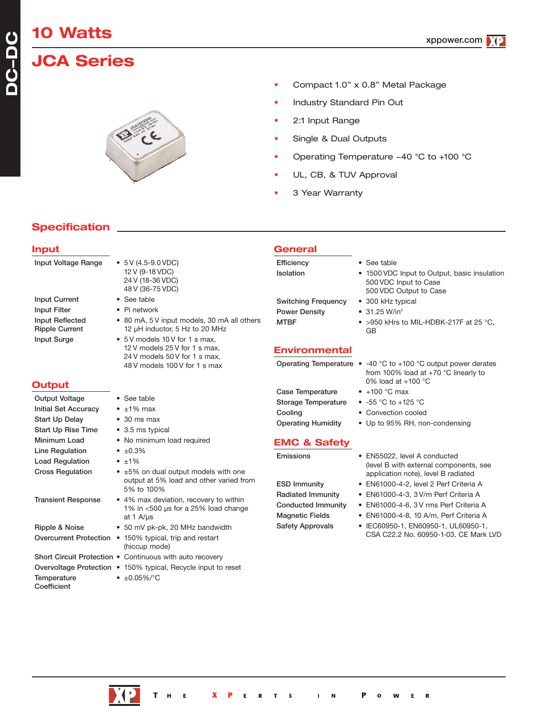# **10 Watts**

**DC-DC**

## **JCA Series**



- Compact 1.0" x 0.8" Metal Package
- Industry Standard Pin Out
- 2:1 Input Range
- Single & Dual Outputs
- Operating Temperature -40 °C to +100 °C
- UL, CB, & TUV Approval
- 3 Year Warranty

#### **Specification**

#### **Input** Input Voltage Range • 5 V (4.5-9.0 VDC) 12 V (9-18 VDC) 24 V (18-36 VDC) 48 V (36-75 VDC) Input Current • See table Input Filter • Pi network Input Reflected • 80 mA, 5 V input models, 30 mA all others<br>
Ripple Current 12 µH inductor, 5 Hz to 20 MHz 12 µH inductor, 5 Hz to 20 MHz Input Surge • 5V models 10V for 1 s max, 12 V models 25 V for 1 s max, 24 V models 50 V for 1 s max, 48 V models 100 V for 1 s max **Output** Output Voltage • See table Initial Set Accuracy • ±1% max Start Up Delay • 30 ms max Start Up Rise Time • 3.5 ms typical Minimum Load • No minimum load required Line Regulation •  $\pm 0.3\%$ Load Regulation  $\bullet$  ±1% Cross Regulation  $\cdot$  ±5% on dual output models with one output at 5% load and other varied from 5% to 100% Transient Response • 4% max deviation, recovery to within 1% in <500 µs for a 25% load change at 1 A/µs Ripple & Noise • 50 mV pk-pk, 20 MHz bandwidth Overcurrent Protection • 150% typical, trip and restart (hiccup mode) Short Circuit Protection • Continuous with auto recovery Overvoltage Protection • 150% typical, Recycle input to reset Temperature • ±0.05%/°C **Coefficient General** Efficiency • See table Isolation • 1500 VDC Input to Output, basic insulation 500 VDC Input to Case 500 VDC Output to Case Switching Frequency • 300 kHz typical Power Density • 31.25 W/in<sup>3</sup> MTBF • >950 kHrs to MIL-HDBK-217F at 25 °C, GB **Environmental** Operating Temperature • -40 °C to +100 °C output power derates from 100% load at +70 °C linearly to 0% load at +100 °C Case Temperature • +100 °C max Storage Temperature • -55 °C to +125 °C Cooling • Convection cooled Operating Humidity • Up to 95% RH, non-condensing **EMC & Safety** Emissions • EN55022, level A conducted (level B with external components, see application note), level B radiated ESD Immunity • EN61000-4-2, level 2 Perf Criteria A Radiated Immunity • EN61000-4-3, 3 V/m Perf Criteria A Conducted Immunity • EN61000-4-6, 3 V rms Perf Criteria A Magnetic Fields • EN61000-4-8, 10 A/m, Perf Criteria A Safety Approvals • IEC60950-1, EN60950-1, UL60950-1, CSA C22.2 No. 60950-1-03, CE Mark LVD



 $\mathbf R$